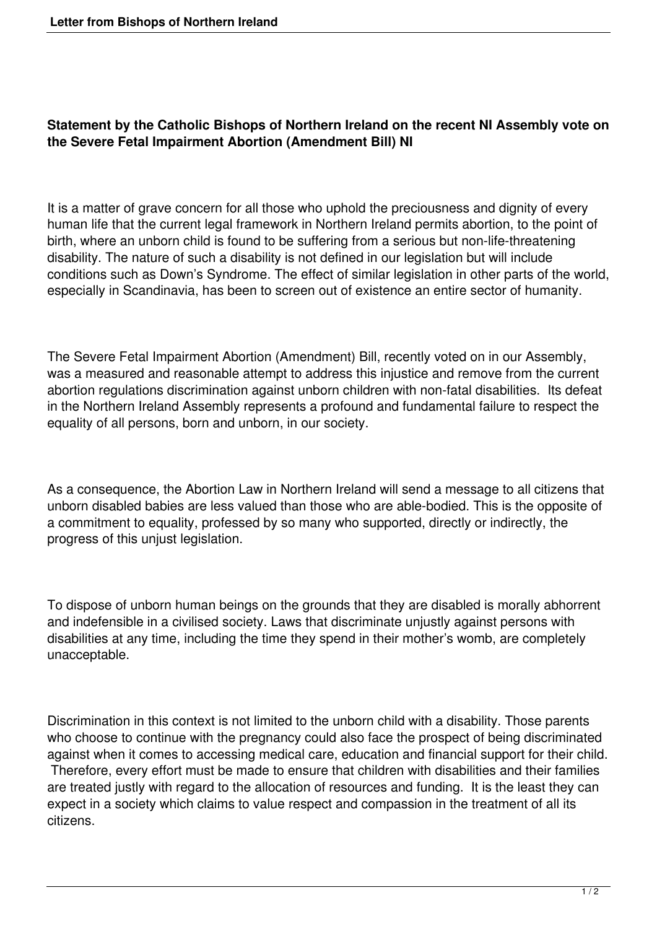## **Statement by the Catholic Bishops of Northern Ireland on the recent NI Assembly vote on the Severe Fetal Impairment Abortion (Amendment Bill) NI**

It is a matter of grave concern for all those who uphold the preciousness and dignity of every human life that the current legal framework in Northern Ireland permits abortion, to the point of birth, where an unborn child is found to be suffering from a serious but non-life-threatening disability. The nature of such a disability is not defined in our legislation but will include conditions such as Down's Syndrome. The effect of similar legislation in other parts of the world, especially in Scandinavia, has been to screen out of existence an entire sector of humanity.

The Severe Fetal Impairment Abortion (Amendment) Bill, recently voted on in our Assembly, was a measured and reasonable attempt to address this injustice and remove from the current abortion regulations discrimination against unborn children with non-fatal disabilities. Its defeat in the Northern Ireland Assembly represents a profound and fundamental failure to respect the equality of all persons, born and unborn, in our society.

As a consequence, the Abortion Law in Northern Ireland will send a message to all citizens that unborn disabled babies are less valued than those who are able-bodied. This is the opposite of a commitment to equality, professed by so many who supported, directly or indirectly, the progress of this unjust legislation.

To dispose of unborn human beings on the grounds that they are disabled is morally abhorrent and indefensible in a civilised society. Laws that discriminate unjustly against persons with disabilities at any time, including the time they spend in their mother's womb, are completely unacceptable.

Discrimination in this context is not limited to the unborn child with a disability. Those parents who choose to continue with the pregnancy could also face the prospect of being discriminated against when it comes to accessing medical care, education and financial support for their child. Therefore, every effort must be made to ensure that children with disabilities and their families are treated justly with regard to the allocation of resources and funding. It is the least they can expect in a society which claims to value respect and compassion in the treatment of all its citizens.